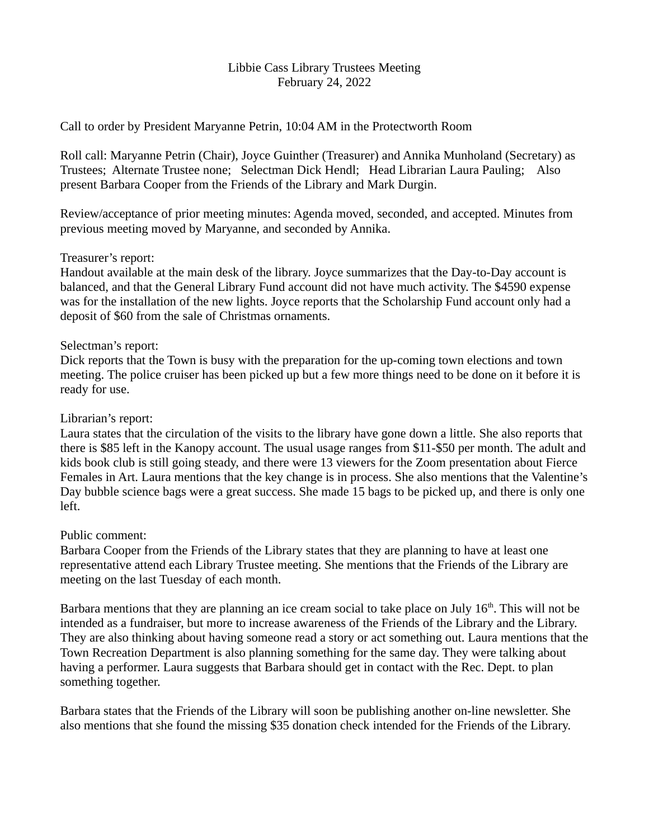### Libbie Cass Library Trustees Meeting February 24, 2022

Call to order by President Maryanne Petrin, 10:04 AM in the Protectworth Room

Roll call: Maryanne Petrin (Chair), Joyce Guinther (Treasurer) and Annika Munholand (Secretary) as Trustees; Alternate Trustee none; Selectman Dick Hendl; Head Librarian Laura Pauling; Also present Barbara Cooper from the Friends of the Library and Mark Durgin.

Review/acceptance of prior meeting minutes: Agenda moved, seconded, and accepted. Minutes from previous meeting moved by Maryanne, and seconded by Annika.

### Treasurer's report:

Handout available at the main desk of the library. Joyce summarizes that the Day-to-Day account is balanced, and that the General Library Fund account did not have much activity. The \$4590 expense was for the installation of the new lights. Joyce reports that the Scholarship Fund account only had a deposit of \$60 from the sale of Christmas ornaments.

### Selectman's report:

Dick reports that the Town is busy with the preparation for the up-coming town elections and town meeting. The police cruiser has been picked up but a few more things need to be done on it before it is ready for use.

## Librarian's report:

Laura states that the circulation of the visits to the library have gone down a little. She also reports that there is \$85 left in the Kanopy account. The usual usage ranges from \$11-\$50 per month. The adult and kids book club is still going steady, and there were 13 viewers for the Zoom presentation about Fierce Females in Art. Laura mentions that the key change is in process. She also mentions that the Valentine's Day bubble science bags were a great success. She made 15 bags to be picked up, and there is only one left.

# Public comment:

Barbara Cooper from the Friends of the Library states that they are planning to have at least one representative attend each Library Trustee meeting. She mentions that the Friends of the Library are meeting on the last Tuesday of each month.

Barbara mentions that they are planning an ice cream social to take place on July  $16<sup>th</sup>$ . This will not be intended as a fundraiser, but more to increase awareness of the Friends of the Library and the Library. They are also thinking about having someone read a story or act something out. Laura mentions that the Town Recreation Department is also planning something for the same day. They were talking about having a performer. Laura suggests that Barbara should get in contact with the Rec. Dept. to plan something together.

Barbara states that the Friends of the Library will soon be publishing another on-line newsletter. She also mentions that she found the missing \$35 donation check intended for the Friends of the Library.